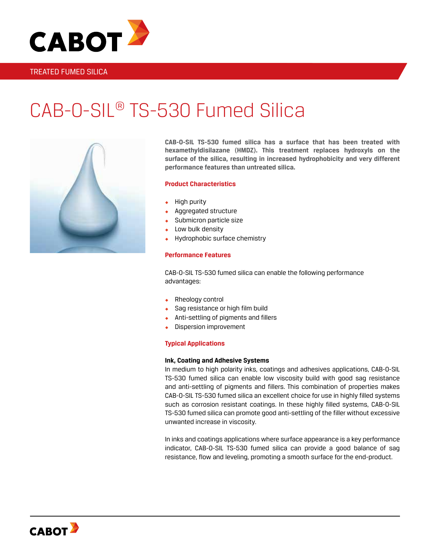

# CAB-O-SIL® TS-530 Fumed Silica



**CAB-O-SIL TS-530 fumed silica has a surface that has been treated with hexamethyldisilazane (HMDZ). This treatment replaces hydroxyls on the surface of the silica, resulting in increased hydrophobicity and very different performance features than untreated silica.**

# **Product Characteristics**

- High purity
- Aggregated structure
- Submicron particle size
- Low bulk density
- Hydrophobic surface chemistry

#### **Performance Features**

CAB-O-SIL TS-530 fumed silica can enable the following performance advantages:

- Rheology control
- Sag resistance or high film build
- ◆ Anti-settling of pigments and fillers
- Dispersion improvement

#### **Typical Applications**

## **Ink, Coating and Adhesive Systems**

In medium to high polarity inks, coatings and adhesives applications, CAB-O-SIL TS-530 fumed silica can enable low viscosity build with good sag resistance and anti-settling of pigments and fillers. This combination of properties makes CAB-O-SIL TS-530 fumed silica an excellent choice for use in highly filled systems such as corrosion resistant coatings. In these highly filled systems, CAB-O-SIL TS-530 fumed silica can promote good anti-settling of the filler without excessive unwanted increase in viscosity.

In inks and coatings applications where surface appearance is a key performance indicator, CAB-O-SIL TS-530 fumed silica can provide a good balance of sag resistance, flow and leveling, promoting a smooth surface for the end-product.